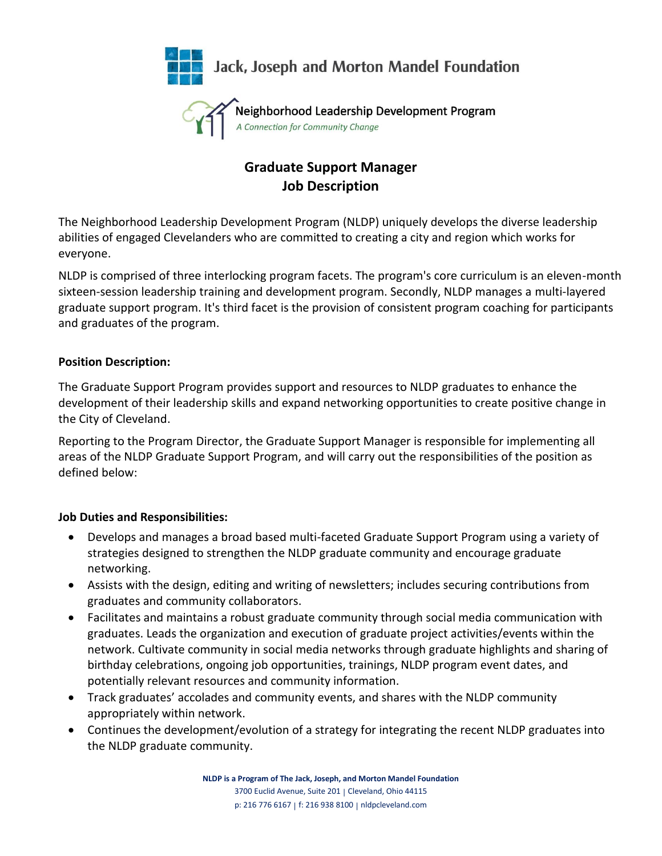

A Connection for Community Change

# **Graduate Support Manager Job Description**

The Neighborhood Leadership Development Program (NLDP) uniquely develops the diverse leadership abilities of engaged Clevelanders who are committed to creating a city and region which works for everyone.

NLDP is comprised of three interlocking program facets. The program's core curriculum is an eleven-month sixteen-session leadership training and development program. Secondly, NLDP manages a multi-layered graduate support program. It's third facet is the provision of consistent program coaching for participants and graduates of the program.

## **Position Description:**

The Graduate Support Program provides support and resources to NLDP graduates to enhance the development of their leadership skills and expand networking opportunities to create positive change in the City of Cleveland.

Reporting to the Program Director, the Graduate Support Manager is responsible for implementing all areas of the NLDP Graduate Support Program, and will carry out the responsibilities of the position as defined below:

## **Job Duties and Responsibilities:**

- Develops and manages a broad based multi-faceted Graduate Support Program using a variety of strategies designed to strengthen the NLDP graduate community and encourage graduate networking.
- Assists with the design, editing and writing of newsletters; includes securing contributions from graduates and community collaborators.
- Facilitates and maintains a robust graduate community through social media communication with graduates. Leads the organization and execution of graduate project activities/events within the network. Cultivate community in social media networks through graduate highlights and sharing of birthday celebrations, ongoing job opportunities, trainings, NLDP program event dates, and potentially relevant resources and community information.
- Track graduates' accolades and community events, and shares with the NLDP community appropriately within network.
- Continues the development/evolution of a strategy for integrating the recent NLDP graduates into the NLDP graduate community.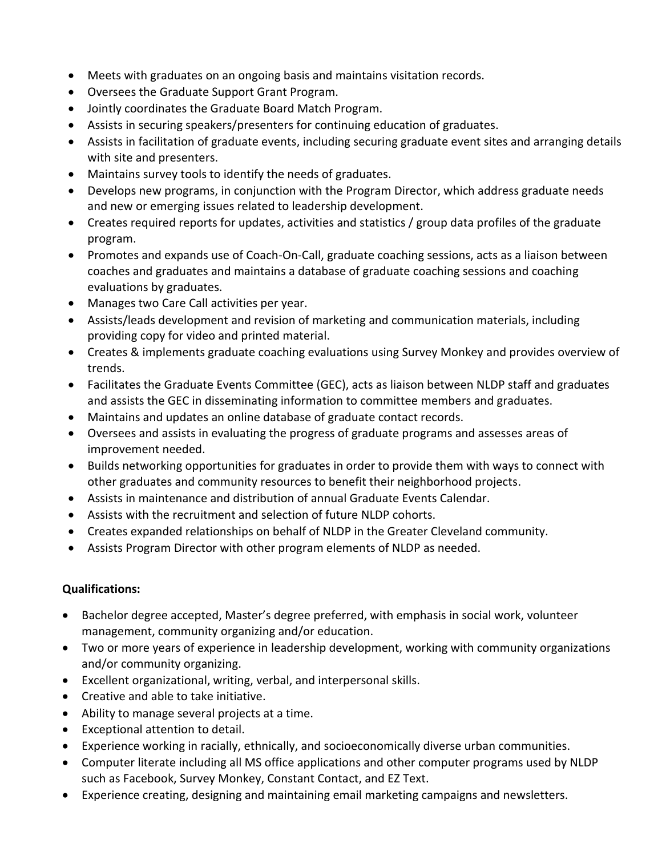- Meets with graduates on an ongoing basis and maintains visitation records.
- Oversees the Graduate Support Grant Program.
- Jointly coordinates the Graduate Board Match Program.
- Assists in securing speakers/presenters for continuing education of graduates.
- Assists in facilitation of graduate events, including securing graduate event sites and arranging details with site and presenters.
- Maintains survey tools to identify the needs of graduates.
- Develops new programs, in conjunction with the Program Director, which address graduate needs and new or emerging issues related to leadership development.
- Creates required reports for updates, activities and statistics / group data profiles of the graduate program.
- Promotes and expands use of Coach-On-Call, graduate coaching sessions, acts as a liaison between coaches and graduates and maintains a database of graduate coaching sessions and coaching evaluations by graduates.
- Manages two Care Call activities per year.
- Assists/leads development and revision of marketing and communication materials, including providing copy for video and printed material.
- Creates & implements graduate coaching evaluations using Survey Monkey and provides overview of trends.
- Facilitates the Graduate Events Committee (GEC), acts as liaison between NLDP staff and graduates and assists the GEC in disseminating information to committee members and graduates.
- Maintains and updates an online database of graduate contact records.
- Oversees and assists in evaluating the progress of graduate programs and assesses areas of improvement needed.
- Builds networking opportunities for graduates in order to provide them with ways to connect with other graduates and community resources to benefit their neighborhood projects.
- Assists in maintenance and distribution of annual Graduate Events Calendar.
- Assists with the recruitment and selection of future NLDP cohorts.
- Creates expanded relationships on behalf of NLDP in the Greater Cleveland community.
- Assists Program Director with other program elements of NLDP as needed.

## **Qualifications:**

- Bachelor degree accepted, Master's degree preferred, with emphasis in social work, volunteer management, community organizing and/or education.
- Two or more years of experience in leadership development, working with community organizations and/or community organizing.
- Excellent organizational, writing, verbal, and interpersonal skills.
- Creative and able to take initiative.
- Ability to manage several projects at a time.
- Exceptional attention to detail.
- Experience working in racially, ethnically, and socioeconomically diverse urban communities.
- Computer literate including all MS office applications and other computer programs used by NLDP such as Facebook, Survey Monkey, Constant Contact, and EZ Text.
- Experience creating, designing and maintaining email marketing campaigns and newsletters.